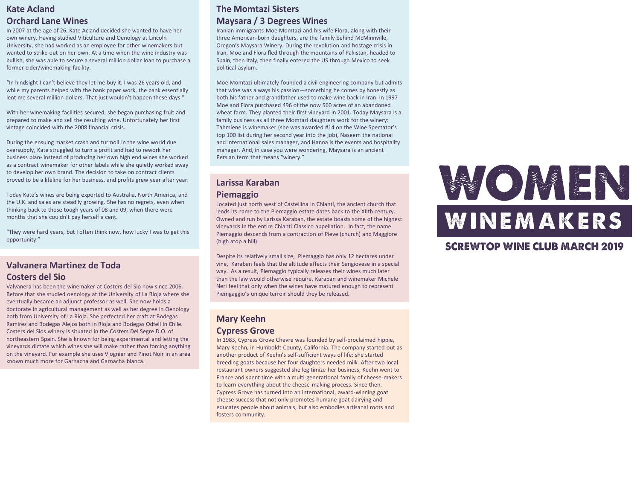# **Kate Acland Orchard Lane Wines**

In 2007 at the age of 26, Kate Acland decided she wanted to have her own winery. Having studied Viticulture and Oenology at Lincoln University, she had worked as an employee for other winemakers but wanted to strike out on her own. At a time when the wine industry was bullish, she was able to secure a several million dollar loan to purchase a former cider/winemaking facility.

"In hindsight I can't believe they let me buy it. I was 26 years old, and while my parents helped with the bank paper work, the bank essentially lent me several million dollars. That just wouldn't happen these days."

With her winemaking facilities secured, she began purchasing fruit and prepared to make and sell the resulting wine. Unfortunately her first vintage coincided with the 2008 financial crisis.

During the ensuing market crash and turmoil in the wine world due oversupply, Kate struggled to turn a profit and had to rework her business plan- instead of producing her own high end wines she worked as a contract winemaker for other labels while she quietly worked away to develop her own brand. The decision to take on contract clients proved to be a lifeline for her business, and profits grew year after year.

Today Kate's wines are being exported to Australia, North America, and the U.K. and sales are steadily growing. She has no regrets, even when thinking back to those tough years of 08 and 09, when there were months that she couldn't pay herself a cent.

"They were hard years, but I often think now, how lucky I was to get this opportunity."

#### **Valvanera Martinez de Toda Costers del Sio**

Valvanera has been the winemaker at Costers del Sio now since 2006. Before that she studied oenology at the University of La Rioja where she eventually became an adjunct professor as well. She now holds a doctorate in agricultural management as well as her degree in Oenology both from University of La Rioja. She perfected her craft at Bodegas Ramirez and Bodegas Alejos both in Rioja and Bodegas Odfell in Chile. Costers del Sios winery is situated in the Costers Del Segre D.O. of northeastern Spain. She is known for being experimental and letting the vineyards dictate which wines she will make rather than forcing anything on the vineyard. For example she uses Viognier and Pinot Noir in an area known much more for Garnacha and Garnacha blanca.

# **The Momtazi Sisters Maysara / 3 Degrees Wines**

Iranian immigrants Moe Momtazi and his wife Flora, along with their three American-born daughters, are the family behind McMinnville, Oregon's Maysara Winery. During the revolution and hostage crisis in Iran, Moe and Flora fled through the mountains of Pakistan, headed to Spain, then Italy, then finally entered the US through Mexico to seek political asylum.

Moe Momtazi ultimately founded a civil engineering company but admits that wine was always his passion—something he comes by honestly as both his father and grandfather used to make wine back in Iran. In 1997 Moe and Flora purchased 496 of the now 560 acres of an abandoned wheat farm. They planted their first vineyard in 2001. Today Maysara is a family business as all three Momtazi daughters work for the winery: Tahmiene is winemaker (she was awarded #14 on the Wine Spectator's top 100 list during her second year into the job), Naseem the national and international sales manager, and Hanna is the events and hospitality manager. And, in case you were wondering, Maysara is an ancient Persian term that means "winery."

#### **Larissa Karaban**

#### **Piemaggio**

Located just north west of Castellina in Chianti, the ancient church that lends its name to the Piemaggio estate dates back to the XIIth century. Owned and run by Larissa Karaban, the estate boasts some of the highest vineyards in the entire Chianti Classico appellation. In fact, the name Piemaggio descends from a contraction of Pieve (church) and Maggiore (high atop a hill).

Despite its relatively small size, Piemaggio has only 12 hectares under vine, Karaban feels that the altitude affects their Sangiovese in a special way. As a result, Piemaggio typically releases their wines much later than the law would otherwise require. Karaban and winemaker Michele Neri feel that only when the wines have matured enough to represent Piemgaggio's unique terroir should they be released.

#### **Mary Keehn Cypress Grove**

In 1983, Cypress Grove Chevre was founded by self-proclaimed hippie, Mary Keehn, in Humboldt County, California. The company started out as another product of Keehn's self-sufficient ways of life: she started breeding goats because her four daughters needed milk. After two local restaurant owners suggested she legitimize her business, Keehn went to France and spent time with a multi-generational family of cheese-makers to learn everything about the cheese-making process. Since then, Cypress Grove has turned into an international, award-winning goat cheese success that not only promotes humane goat dairying and educates people about animals, but also embodies artisanal roots and fosters community.

# WOMEN WINEMAKERS

# **SCREWTOP WINE CLUB MARCH 2019**